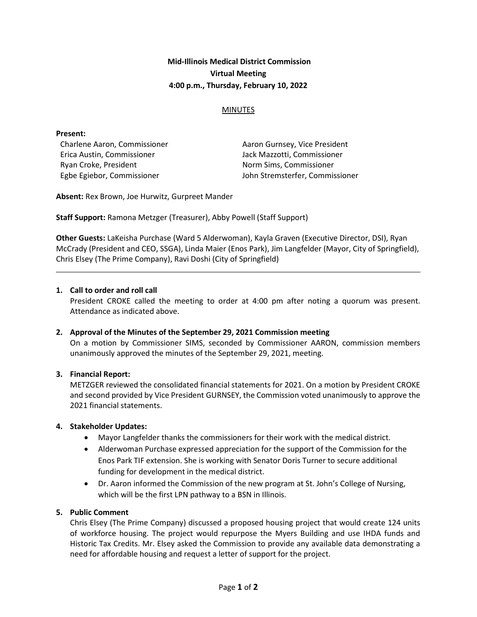# Mid-Illinois Medical District Commission Virtual Meeting 4:00 p.m., Thursday, February 10, 2022

### MINUTES

#### Present:

Charlene Aaron, Commissioner Erica Austin, Commissioner Ryan Croke, President Egbe Egiebor, Commissioner

Aaron Gurnsey, Vice President Jack Mazzotti, Commissioner Norm Sims, Commissioner John Stremsterfer, Commissioner

Absent: Rex Brown, Joe Hurwitz, Gurpreet Mander

Staff Support: Ramona Metzger (Treasurer), Abby Powell (Staff Support)

Other Guests: LaKeisha Purchase (Ward 5 Alderwoman), Kayla Graven (Executive Director, DSI), Ryan McCrady (President and CEO, SSGA), Linda Maier (Enos Park), Jim Langfelder (Mayor, City of Springfield), Chris Elsey (The Prime Company), Ravi Doshi (City of Springfield)

#### 1. Call to order and roll call

President CROKE called the meeting to order at 4:00 pm after noting a quorum was present. Attendance as indicated above.

#### 2. Approval of the Minutes of the September 29, 2021 Commission meeting

On a motion by Commissioner SIMS, seconded by Commissioner AARON, commission members unanimously approved the minutes of the September 29, 2021, meeting.

#### 3. Financial Report:

METZGER reviewed the consolidated financial statements for 2021. On a motion by President CROKE and second provided by Vice President GURNSEY, the Commission voted unanimously to approve the 2021 financial statements.

#### 4. Stakeholder Updates:

- Mayor Langfelder thanks the commissioners for their work with the medical district.
- Alderwoman Purchase expressed appreciation for the support of the Commission for the Enos Park TIF extension. She is working with Senator Doris Turner to secure additional funding for development in the medical district.
- Dr. Aaron informed the Commission of the new program at St. John's College of Nursing, which will be the first LPN pathway to a BSN in Illinois.

### 5. Public Comment

Chris Elsey (The Prime Company) discussed a proposed housing project that would create 124 units of workforce housing. The project would repurpose the Myers Building and use IHDA funds and Historic Tax Credits. Mr. Elsey asked the Commission to provide any available data demonstrating a need for affordable housing and request a letter of support for the project.